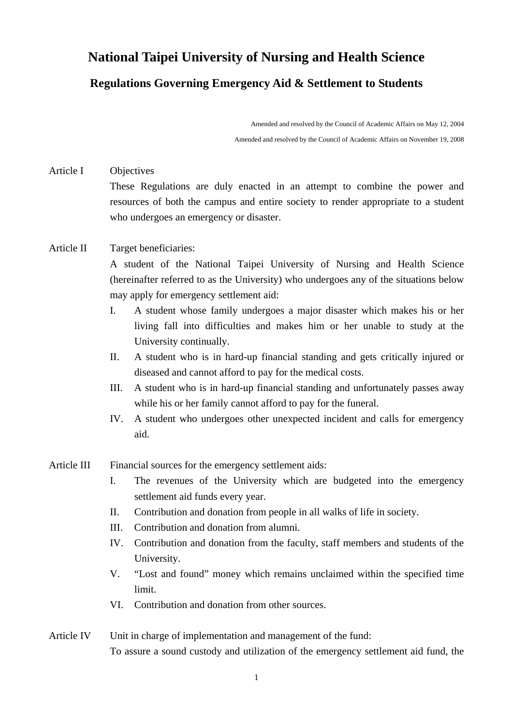## **National Taipei University of Nursing and Health Science**

## **Regulations Governing Emergency Aid & Settlement to Students**

Amended and resolved by the Council of Academic Affairs on May 12, 2004 Amended and resolved by the Council of Academic Affairs on November 19, 2008

Article I Objectives These Regulations are duly enacted in an attempt to combine the power and resources of both the campus and entire society to render appropriate to a student who undergoes an emergency or disaster.

## Article II Target beneficiaries:

A student of the National Taipei University of Nursing and Health Science (hereinafter referred to as the University) who undergoes any of the situations below may apply for emergency settlement aid:

- I. A student whose family undergoes a major disaster which makes his or her living fall into difficulties and makes him or her unable to study at the University continually.
- II. A student who is in hard-up financial standing and gets critically injured or diseased and cannot afford to pay for the medical costs.
- III. A student who is in hard-up financial standing and unfortunately passes away while his or her family cannot afford to pay for the funeral.
- IV. A student who undergoes other unexpected incident and calls for emergency aid.

## Article III Financial sources for the emergency settlement aids:

- I. The revenues of the University which are budgeted into the emergency settlement aid funds every year.
- II. Contribution and donation from people in all walks of life in society.
- III. Contribution and donation from alumni.
- IV. Contribution and donation from the faculty, staff members and students of the University.
- V. "Lost and found" money which remains unclaimed within the specified time limit.
- VI. Contribution and donation from other sources.
- Article IV Unit in charge of implementation and management of the fund: To assure a sound custody and utilization of the emergency settlement aid fund, the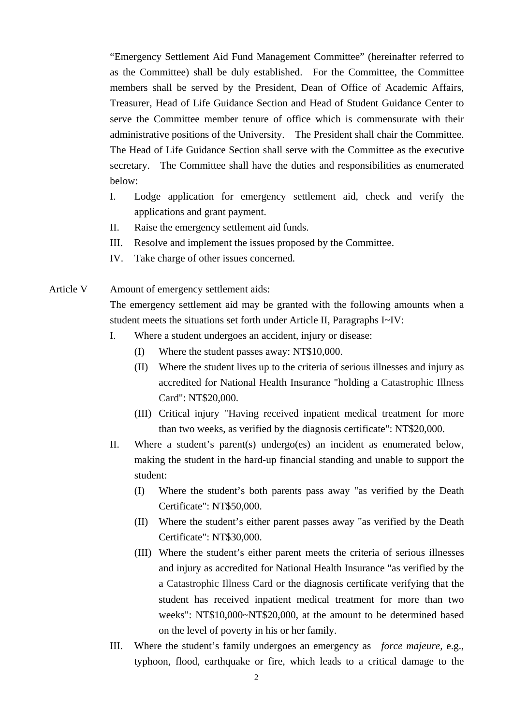"Emergency Settlement Aid Fund Management Committee" (hereinafter referred to as the Committee) shall be duly established. For the Committee, the Committee members shall be served by the President, Dean of Office of Academic Affairs, Treasurer, Head of Life Guidance Section and Head of Student Guidance Center to serve the Committee member tenure of office which is commensurate with their administrative positions of the University. The President shall chair the Committee. The Head of Life Guidance Section shall serve with the Committee as the executive secretary. The Committee shall have the duties and responsibilities as enumerated below:

- I. Lodge application for emergency settlement aid, check and verify the applications and grant payment.
- II. Raise the emergency settlement aid funds.
- III. Resolve and implement the issues proposed by the Committee.
- IV. Take charge of other issues concerned.
- Article V Amount of emergency settlement aids: The emergency settlement aid may be granted with the following amounts when a student meets the situations set forth under Article II, Paragraphs I~IV:
	- I. Where a student undergoes an accident, injury or disease:
		- (I) Where the student passes away: NT\$10,000.
		- (II) Where the student lives up to the criteria of serious illnesses and injury as accredited for National Health Insurance "holding a Catastrophic Illness Card": NT\$20,000.
		- (III) Critical injury "Having received inpatient medical treatment for more than two weeks, as verified by the diagnosis certificate": NT\$20,000.
	- II. Where a student's parent(s) undergo(es) an incident as enumerated below, making the student in the hard-up financial standing and unable to support the student:
		- (I) Where the student's both parents pass away "as verified by the Death Certificate": NT\$50,000.
		- (II) Where the student's either parent passes away "as verified by the Death Certificate": NT\$30,000.
		- (III) Where the student's either parent meets the criteria of serious illnesses and injury as accredited for National Health Insurance "as verified by the a Catastrophic Illness Card or the diagnosis certificate verifying that the student has received inpatient medical treatment for more than two weeks": NT\$10,000~NT\$20,000, at the amount to be determined based on the level of poverty in his or her family.
	- III. Where the student's family undergoes an emergency as *force majeure,* e.g., typhoon, flood, earthquake or fire, which leads to a critical damage to the